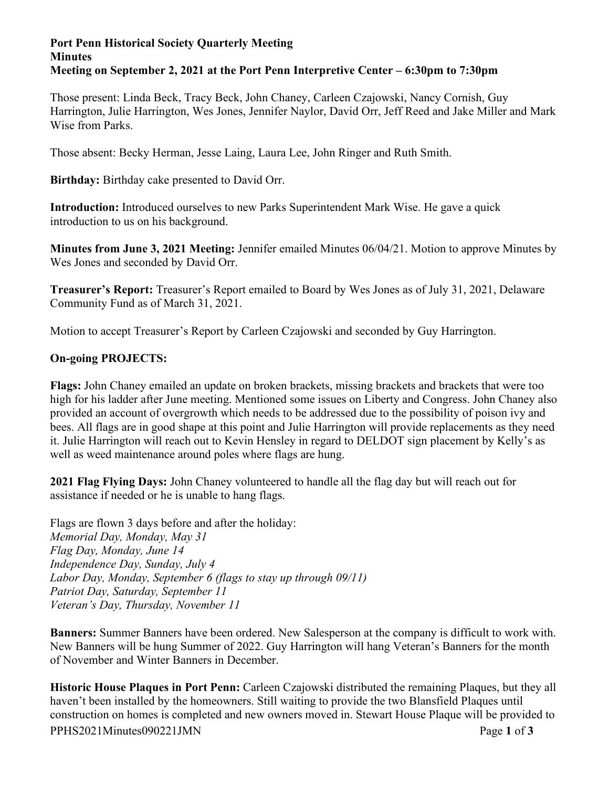## **Port Penn Historical Society Quarterly Meeting Minutes Meeting on September 2, 2021 at the Port Penn Interpretive Center – 6:30pm to 7:30pm**

Those present: Linda Beck, Tracy Beck, John Chaney, Carleen Czajowski, Nancy Cornish, Guy Harrington, Julie Harrington, Wes Jones, Jennifer Naylor, David Orr, Jeff Reed and Jake Miller and Mark Wise from Parks.

Those absent: Becky Herman, Jesse Laing, Laura Lee, John Ringer and Ruth Smith.

**Birthday:** Birthday cake presented to David Orr.

**Introduction:** Introduced ourselves to new Parks Superintendent Mark Wise. He gave a quick introduction to us on his background.

**Minutes from June 3, 2021 Meeting:** Jennifer emailed Minutes 06/04/21. Motion to approve Minutes by Wes Jones and seconded by David Orr.

**Treasurer's Report:** Treasurer's Report emailed to Board by Wes Jones as of July 31, 2021, Delaware Community Fund as of March 31, 2021.

Motion to accept Treasurer's Report by Carleen Czajowski and seconded by Guy Harrington.

## **On-going PROJECTS:**

**Flags:** John Chaney emailed an update on broken brackets, missing brackets and brackets that were too high for his ladder after June meeting. Mentioned some issues on Liberty and Congress. John Chaney also provided an account of overgrowth which needs to be addressed due to the possibility of poison ivy and bees. All flags are in good shape at this point and Julie Harrington will provide replacements as they need it. Julie Harrington will reach out to Kevin Hensley in regard to DELDOT sign placement by Kelly's as well as weed maintenance around poles where flags are hung.

**2021 Flag Flying Days:** John Chaney volunteered to handle all the flag day but will reach out for assistance if needed or he is unable to hang flags.

Flags are flown 3 days before and after the holiday: *Memorial Day, Monday, May 31 Flag Day, Monday, June 14 Independence Day, Sunday, July 4 Labor Day, Monday, September 6 (flags to stay up through 09/11) Patriot Day, Saturday, September 11 Veteran's Day, Thursday, November 11*

**Banners:** Summer Banners have been ordered. New Salesperson at the company is difficult to work with. New Banners will be hung Summer of 2022. Guy Harrington will hang Veteran's Banners for the month of November and Winter Banners in December.

PPHS2021Minutes090221JMN Page **1** of **3 Historic House Plaques in Port Penn:** Carleen Czajowski distributed the remaining Plaques, but they all haven't been installed by the homeowners. Still waiting to provide the two Blansfield Plaques until construction on homes is completed and new owners moved in. Stewart House Plaque will be provided to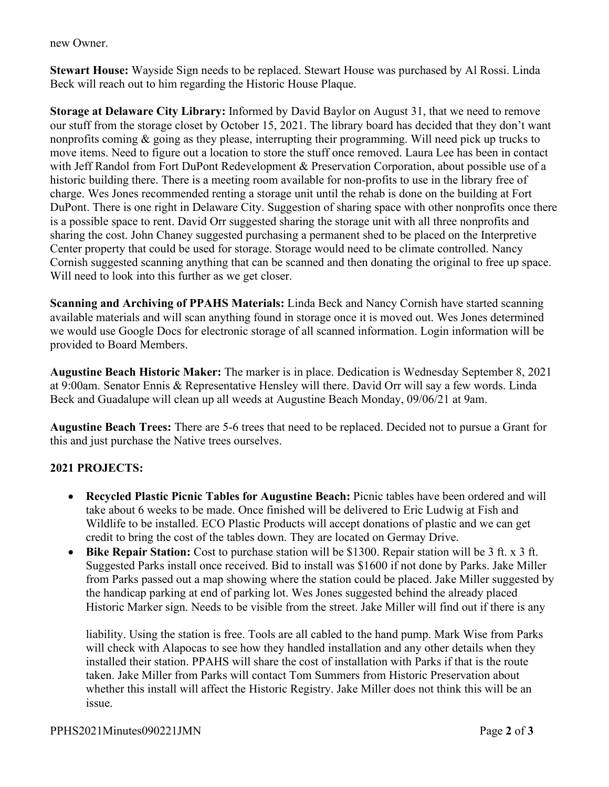new Owner.

**Stewart House:** Wayside Sign needs to be replaced. Stewart House was purchased by Al Rossi. Linda Beck will reach out to him regarding the Historic House Plaque.

**Storage at Delaware City Library:** Informed by David Baylor on August 31, that we need to remove our stuff from the storage closet by October 15, 2021. The library board has decided that they don't want nonprofits coming & going as they please, interrupting their programming. Will need pick up trucks to move items. Need to figure out a location to store the stuff once removed. Laura Lee has been in contact with Jeff Randol from Fort DuPont Redevelopment & Preservation Corporation, about possible use of a historic building there. There is a meeting room available for non-profits to use in the library free of charge. Wes Jones recommended renting a storage unit until the rehab is done on the building at Fort DuPont. There is one right in Delaware City. Suggestion of sharing space with other nonprofits once there is a possible space to rent. David Orr suggested sharing the storage unit with all three nonprofits and sharing the cost. John Chaney suggested purchasing a permanent shed to be placed on the Interpretive Center property that could be used for storage. Storage would need to be climate controlled. Nancy Cornish suggested scanning anything that can be scanned and then donating the original to free up space. Will need to look into this further as we get closer.

**Scanning and Archiving of PPAHS Materials:** Linda Beck and Nancy Cornish have started scanning available materials and will scan anything found in storage once it is moved out. Wes Jones determined we would use Google Docs for electronic storage of all scanned information. Login information will be provided to Board Members.

**Augustine Beach Historic Maker:** The marker is in place. Dedication is Wednesday September 8, 2021 at 9:00am. Senator Ennis & Representative Hensley will there. David Orr will say a few words. Linda Beck and Guadalupe will clean up all weeds at Augustine Beach Monday, 09/06/21 at 9am.

**Augustine Beach Trees:** There are 5-6 trees that need to be replaced. Decided not to pursue a Grant for this and just purchase the Native trees ourselves.

## **2021 PROJECTS:**

- **Recycled Plastic Picnic Tables for Augustine Beach:** Picnic tables have been ordered and will take about 6 weeks to be made. Once finished will be delivered to Eric Ludwig at Fish and Wildlife to be installed. ECO Plastic Products will accept donations of plastic and we can get credit to bring the cost of the tables down. They are located on Germay Drive.
- **Bike Repair Station:** Cost to purchase station will be \$1300. Repair station will be 3 ft. x 3 ft. Suggested Parks install once received. Bid to install was \$1600 if not done by Parks. Jake Miller from Parks passed out a map showing where the station could be placed. Jake Miller suggested by the handicap parking at end of parking lot. Wes Jones suggested behind the already placed Historic Marker sign. Needs to be visible from the street. Jake Miller will find out if there is any

liability. Using the station is free. Tools are all cabled to the hand pump. Mark Wise from Parks will check with Alapocas to see how they handled installation and any other details when they installed their station. PPAHS will share the cost of installation with Parks if that is the route taken. Jake Miller from Parks will contact Tom Summers from Historic Preservation about whether this install will affect the Historic Registry. Jake Miller does not think this will be an issue.